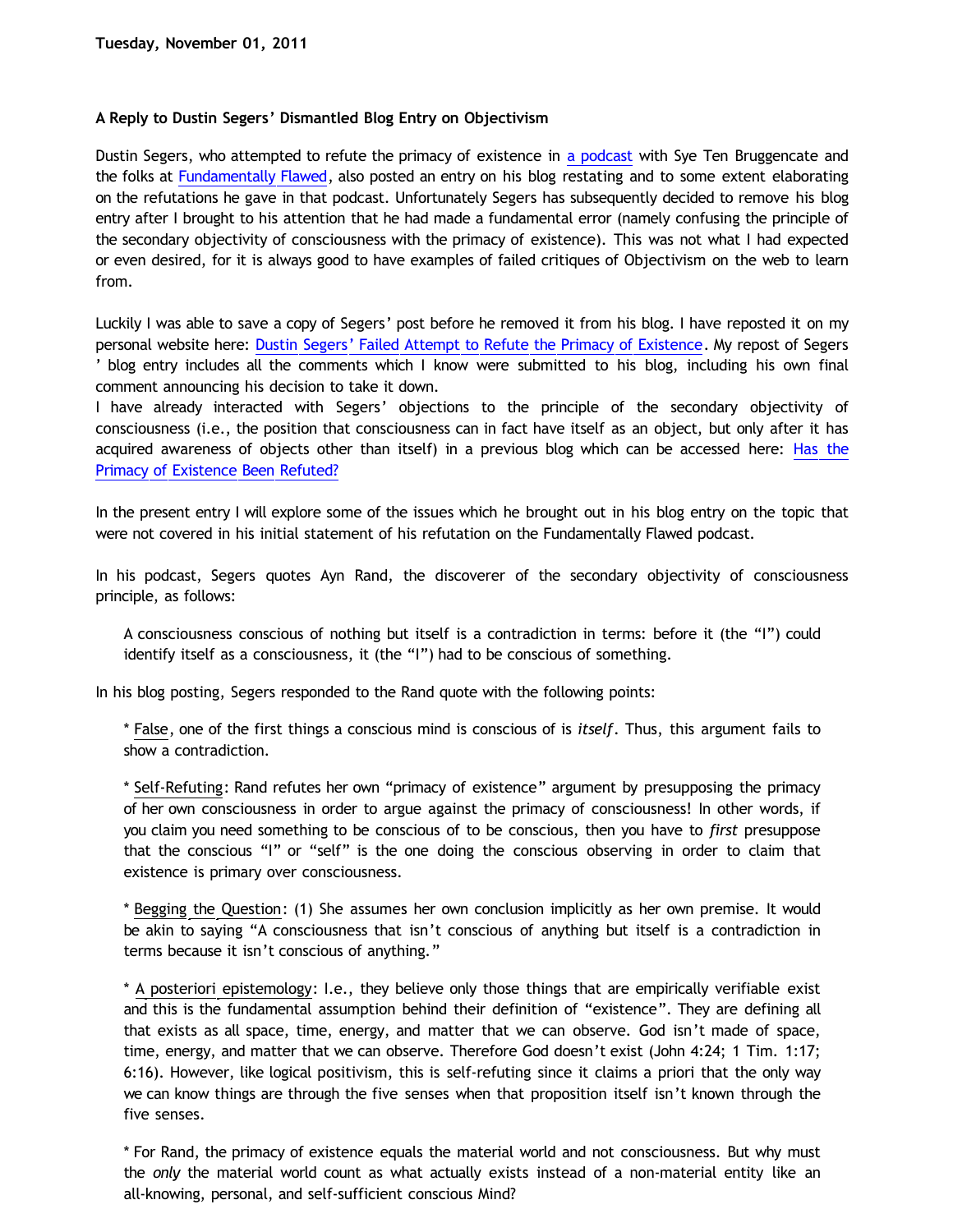## **A Reply to Dustin Segers' Dismantled Blog Entry on Objectivism**

Dustin Segers, who attempted to refute the primacy of existence in [a podcast](http://fundamentally-flawed.com/2011/10/15/fundamentally-flawed-podcast-15-dustin-segers-and-sye-ten-bruggencate/) with Sye Ten Bruggencate and the folks at [Fundamentally Flawed,](http://fundamentally-flawed.com/) also posted an entry on his blog restating and to some extent elaborating on the refutations he gave in that podcast. Unfortunately Segers has subsequently decided to remove his blog entry after I brought to his attention that he had made a fundamental error (namely confusing the principle of the secondary objectivity of consciousness with the primacy of existence). This was not what I had expected or even desired, for it is always good to have examples of failed critiques of Objectivism on the web to learn from.

Luckily I was able to save a copy of Segers' post before he removed it from his blog. I have reposted it on my personal website here: [Dustin Segers' Failed Attempt to Refute the Primacy of Existence](http://katholon.com/Doofusman.htm). My repost of Segers ' blog entry includes all the comments which I know were submitted to his blog, including his own final comment announcing his decision to take it down.

I have already interacted with Segers' objections to the principle of the secondary objectivity of consciousness (i.e., the position that consciousness can in fact have itself as an object, but only after it has acquired awareness of objects other than itself) in a previous blog which can be accessed here: [Has the](http://bahnsenburner.blogspot.com/2011/10/has-primacy-of-existence-been-refuted.html) [Primacy of Existence Been Refuted?](http://bahnsenburner.blogspot.com/2011/10/has-primacy-of-existence-been-refuted.html)

In the present entry I will explore some of the issues which he brought out in his blog entry on the topic that were not covered in his initial statement of his refutation on the Fundamentally Flawed podcast.

In his podcast, Segers quotes Ayn Rand, the discoverer of the secondary objectivity of consciousness principle, as follows:

A consciousness conscious of nothing but itself is a contradiction in terms: before it (the "I") could identify itself as a consciousness, it (the "I") had to be conscious of something.

In his blog posting, Segers responded to the Rand quote with the following points:

\* False, one of the first things a conscious mind is conscious of is *itself*. Thus, this argument fails to show a contradiction.

\* Self-Refuting: Rand refutes her own "primacy of existence" argument by presupposing the primacy of her own consciousness in order to argue against the primacy of consciousness! In other words, if you claim you need something to be conscious of to be conscious, then you have to *first* presuppose that the conscious "I" or "self" is the one doing the conscious observing in order to claim that existence is primary over consciousness.

\* Begging the Question: (1) She assumes her own conclusion implicitly as her own premise. It would be akin to saying "A consciousness that isn't conscious of anything but itself is a contradiction in terms because it isn't conscious of anything."

\* A posteriori epistemology: I.e., they believe only those things that are empirically verifiable exist and this is the fundamental assumption behind their definition of "existence". They are defining all that exists as all space, time, energy, and matter that we can observe. God isn't made of space, time, energy, and matter that we can observe. Therefore God doesn't exist (John 4:24; 1 Tim. 1:17; 6:16). However, like logical positivism, this is self-refuting since it claims a priori that the only way we can know things are through the five senses when that proposition itself isn't known through the five senses.

\* For Rand, the primacy of existence equals the material world and not consciousness. But why must the *only* the material world count as what actually exists instead of a non-material entity like an all-knowing, personal, and self-sufficient conscious Mind?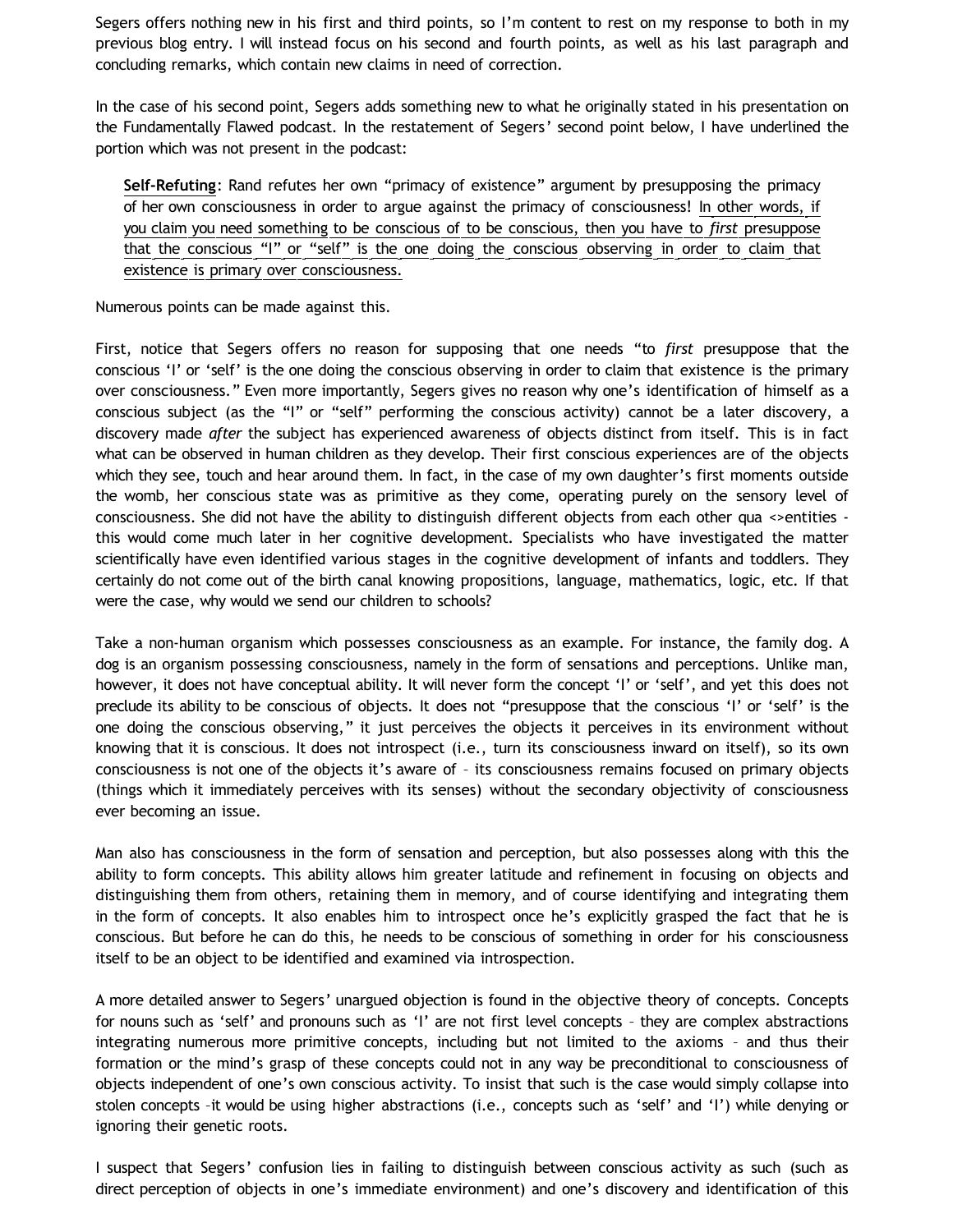Segers offers nothing new in his first and third points, so I'm content to rest on my response to both in my previous blog entry. I will instead focus on his second and fourth points, as well as his last paragraph and concluding remarks, which contain new claims in need of correction.

In the case of his second point, Segers adds something new to what he originally stated in his presentation on the Fundamentally Flawed podcast. In the restatement of Segers' second point below, I have underlined the portion which was not present in the podcast:

**Self-Refuting**: Rand refutes her own "primacy of existence" argument by presupposing the primacy of her own consciousness in order to argue against the primacy of consciousness! In other words, if you claim you need something to be conscious of to be conscious, then you have to *first* presuppose that the conscious "I" or "self" is the one doing the conscious observing in order to claim that existence is primary over consciousness.

Numerous points can be made against this.

First, notice that Segers offers no reason for supposing that one needs "to *first* presuppose that the conscious 'I' or 'self' is the one doing the conscious observing in order to claim that existence is the primary over consciousness." Even more importantly, Segers gives no reason why one's identification of himself as a conscious subject (as the "I" or "self" performing the conscious activity) cannot be a later discovery, a discovery made *after* the subject has experienced awareness of objects distinct from itself. This is in fact what can be observed in human children as they develop. Their first conscious experiences are of the objects which they see, touch and hear around them. In fact, in the case of my own daughter's first moments outside the womb, her conscious state was as primitive as they come, operating purely on the sensory level of consciousness. She did not have the ability to distinguish different objects from each other qua <>entities this would come much later in her cognitive development. Specialists who have investigated the matter scientifically have even identified various stages in the cognitive development of infants and toddlers. They certainly do not come out of the birth canal knowing propositions, language, mathematics, logic, etc. If that were the case, why would we send our children to schools?

Take a non-human organism which possesses consciousness as an example. For instance, the family dog. A dog is an organism possessing consciousness, namely in the form of sensations and perceptions. Unlike man, however, it does not have conceptual ability. It will never form the concept 'I' or 'self', and yet this does not preclude its ability to be conscious of objects. It does not "presuppose that the conscious 'I' or 'self' is the one doing the conscious observing," it just perceives the objects it perceives in its environment without knowing that it is conscious. It does not introspect (i.e., turn its consciousness inward on itself), so its own consciousness is not one of the objects it's aware of – its consciousness remains focused on primary objects (things which it immediately perceives with its senses) without the secondary objectivity of consciousness ever becoming an issue.

Man also has consciousness in the form of sensation and perception, but also possesses along with this the ability to form concepts. This ability allows him greater latitude and refinement in focusing on objects and distinguishing them from others, retaining them in memory, and of course identifying and integrating them in the form of concepts. It also enables him to introspect once he's explicitly grasped the fact that he is conscious. But before he can do this, he needs to be conscious of something in order for his consciousness itself to be an object to be identified and examined via introspection.

A more detailed answer to Segers' unargued objection is found in the objective theory of concepts. Concepts for nouns such as 'self' and pronouns such as 'I' are not first level concepts – they are complex abstractions integrating numerous more primitive concepts, including but not limited to the axioms – and thus their formation or the mind's grasp of these concepts could not in any way be preconditional to consciousness of objects independent of one's own conscious activity. To insist that such is the case would simply collapse into stolen concepts –it would be using higher abstractions (i.e., concepts such as 'self' and 'I') while denying or ignoring their genetic roots.

I suspect that Segers' confusion lies in failing to distinguish between conscious activity as such (such as direct perception of objects in one's immediate environment) and one's discovery and identification of this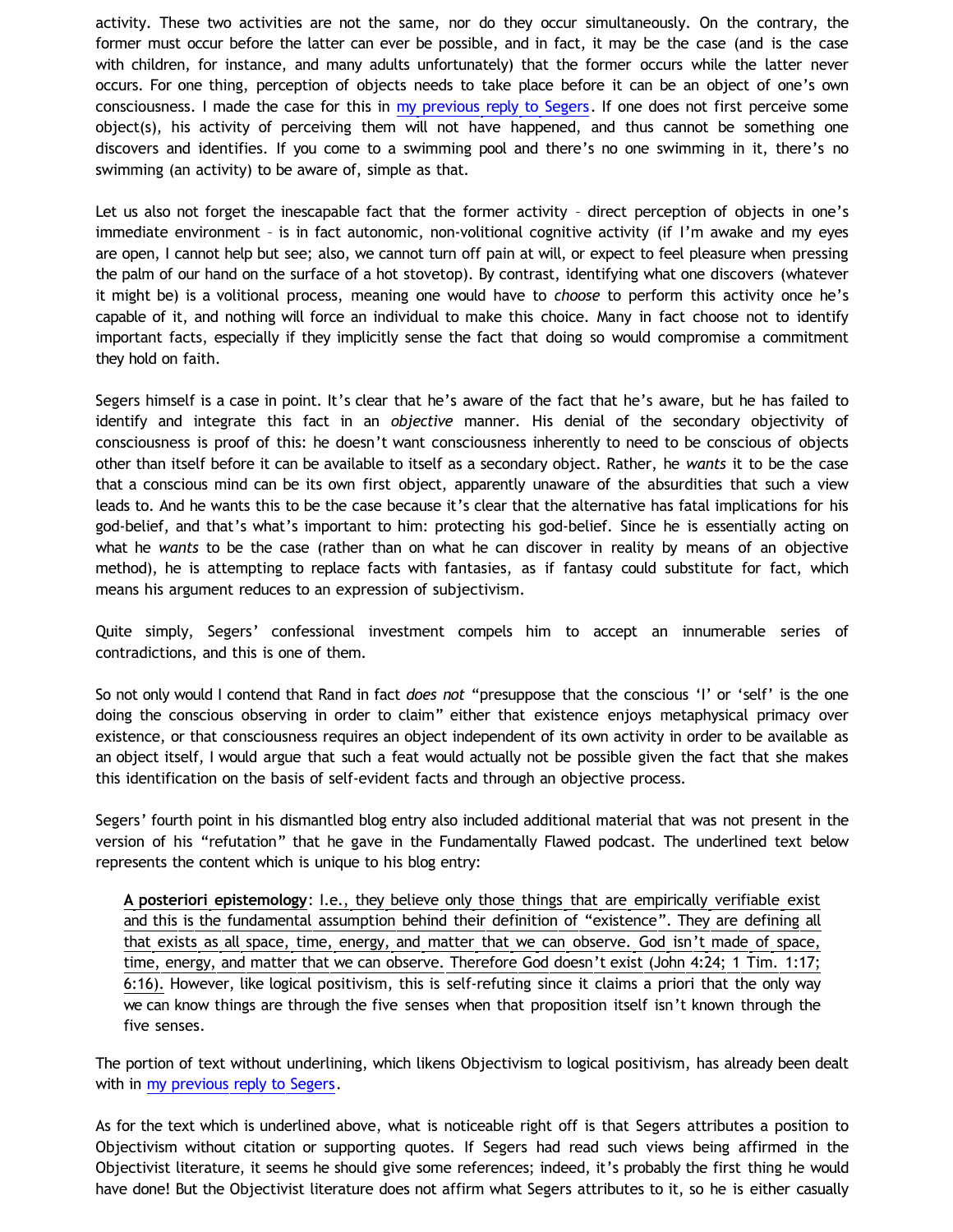activity. These two activities are not the same, nor do they occur simultaneously. On the contrary, the former must occur before the latter can ever be possible, and in fact, it may be the case (and is the case with children, for instance, and many adults unfortunately) that the former occurs while the latter never occurs. For one thing, perception of objects needs to take place before it can be an object of one's own consciousness. I made the case for this in [my previous reply to Segers.](http://bahnsenburner.blogspot.com/2011/10/has-primacy-of-existence-been-refuted.html) If one does not first perceive some object(s), his activity of perceiving them will not have happened, and thus cannot be something one discovers and identifies. If you come to a swimming pool and there's no one swimming in it, there's no swimming (an activity) to be aware of, simple as that.

Let us also not forget the inescapable fact that the former activity – direct perception of objects in one's immediate environment – is in fact autonomic, non-volitional cognitive activity (if I'm awake and my eyes are open, I cannot help but see; also, we cannot turn off pain at will, or expect to feel pleasure when pressing the palm of our hand on the surface of a hot stovetop). By contrast, identifying what one discovers (whatever it might be) is a volitional process, meaning one would have to *choose* to perform this activity once he's capable of it, and nothing will force an individual to make this choice. Many in fact choose not to identify important facts, especially if they implicitly sense the fact that doing so would compromise a commitment they hold on faith.

Segers himself is a case in point. It's clear that he's aware of the fact that he's aware, but he has failed to identify and integrate this fact in an *objective* manner. His denial of the secondary objectivity of consciousness is proof of this: he doesn't want consciousness inherently to need to be conscious of objects other than itself before it can be available to itself as a secondary object. Rather, he *wants* it to be the case that a conscious mind can be its own first object, apparently unaware of the absurdities that such a view leads to. And he wants this to be the case because it's clear that the alternative has fatal implications for his god-belief, and that's what's important to him: protecting his god-belief. Since he is essentially acting on what he *wants* to be the case (rather than on what he can discover in reality by means of an objective method), he is attempting to replace facts with fantasies, as if fantasy could substitute for fact, which means his argument reduces to an expression of subjectivism.

Quite simply, Segers' confessional investment compels him to accept an innumerable series of contradictions, and this is one of them.

So not only would I contend that Rand in fact *does not* "presuppose that the conscious 'I' or 'self' is the one doing the conscious observing in order to claim" either that existence enjoys metaphysical primacy over existence, or that consciousness requires an object independent of its own activity in order to be available as an object itself, I would argue that such a feat would actually not be possible given the fact that she makes this identification on the basis of self-evident facts and through an objective process.

Segers' fourth point in his dismantled blog entry also included additional material that was not present in the version of his "refutation" that he gave in the Fundamentally Flawed podcast. The underlined text below represents the content which is unique to his blog entry:

**A posteriori epistemology**: I.e., they believe only those things that are empirically verifiable exist and this is the fundamental assumption behind their definition of "existence". They are defining all that exists as all space, time, energy, and matter that we can observe. God isn't made of space, time, energy, and matter that we can observe. Therefore God doesn't exist (John 4:24; 1 Tim. 1:17; 6:16). However, like logical positivism, this is self-refuting since it claims a priori that the only way we can know things are through the five senses when that proposition itself isn't known through the five senses.

The portion of text without underlining, which likens Objectivism to logical positivism, has already been dealt with in [my previous reply to Segers](http://bahnsenburner.blogspot.com/2011/10/has-primacy-of-existence-been-refuted.html).

As for the text which is underlined above, what is noticeable right off is that Segers attributes a position to Objectivism without citation or supporting quotes. If Segers had read such views being affirmed in the Objectivist literature, it seems he should give some references; indeed, it's probably the first thing he would have done! But the Objectivist literature does not affirm what Segers attributes to it, so he is either casually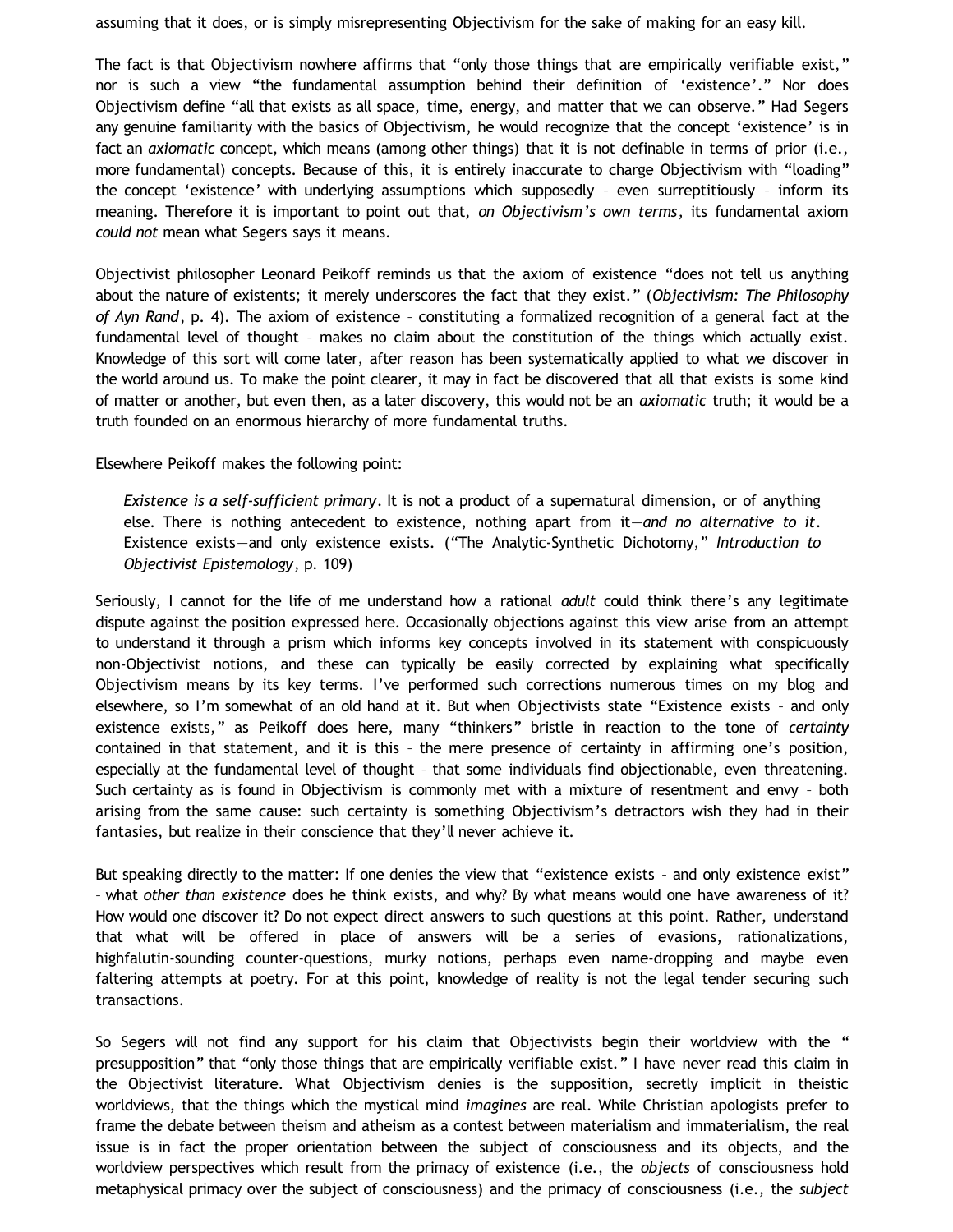assuming that it does, or is simply misrepresenting Objectivism for the sake of making for an easy kill.

The fact is that Objectivism nowhere affirms that "only those things that are empirically verifiable exist," nor is such a view "the fundamental assumption behind their definition of 'existence'." Nor does Objectivism define "all that exists as all space, time, energy, and matter that we can observe." Had Segers any genuine familiarity with the basics of Objectivism, he would recognize that the concept 'existence' is in fact an *axiomatic* concept, which means (among other things) that it is not definable in terms of prior (i.e., more fundamental) concepts. Because of this, it is entirely inaccurate to charge Objectivism with "loading" the concept 'existence' with underlying assumptions which supposedly – even surreptitiously – inform its meaning. Therefore it is important to point out that, *on Objectivism's own terms*, its fundamental axiom *could not* mean what Segers says it means.

Objectivist philosopher Leonard Peikoff reminds us that the axiom of existence "does not tell us anything about the nature of existents; it merely underscores the fact that they exist." (*Objectivism: The Philosophy of Ayn Rand*, p. 4). The axiom of existence – constituting a formalized recognition of a general fact at the fundamental level of thought – makes no claim about the constitution of the things which actually exist. Knowledge of this sort will come later, after reason has been systematically applied to what we discover in the world around us. To make the point clearer, it may in fact be discovered that all that exists is some kind of matter or another, but even then, as a later discovery, this would not be an *axiomatic* truth; it would be a truth founded on an enormous hierarchy of more fundamental truths.

Elsewhere Peikoff makes the following point:

*Existence is a self-sufficient primary*. It is not a product of a supernatural dimension, or of anything else. There is nothing antecedent to existence, nothing apart from it—*and no alternative to it*. Existence exists—and only existence exists. ("The Analytic-Synthetic Dichotomy," *Introduction to Objectivist Epistemology*, p. 109)

Seriously, I cannot for the life of me understand how a rational *adult* could think there's any legitimate dispute against the position expressed here. Occasionally objections against this view arise from an attempt to understand it through a prism which informs key concepts involved in its statement with conspicuously non-Objectivist notions, and these can typically be easily corrected by explaining what specifically Objectivism means by its key terms. I've performed such corrections numerous times on my blog and elsewhere, so I'm somewhat of an old hand at it. But when Objectivists state "Existence exists – and only existence exists," as Peikoff does here, many "thinkers" bristle in reaction to the tone of *certainty* contained in that statement, and it is this – the mere presence of certainty in affirming one's position, especially at the fundamental level of thought – that some individuals find objectionable, even threatening. Such certainty as is found in Objectivism is commonly met with a mixture of resentment and envy – both arising from the same cause: such certainty is something Objectivism's detractors wish they had in their fantasies, but realize in their conscience that they'll never achieve it.

But speaking directly to the matter: If one denies the view that "existence exists - and only existence exist" – what *other than existence* does he think exists, and why? By what means would one have awareness of it? How would one discover it? Do not expect direct answers to such questions at this point. Rather, understand that what will be offered in place of answers will be a series of evasions, rationalizations, highfalutin-sounding counter-questions, murky notions, perhaps even name-dropping and maybe even faltering attempts at poetry. For at this point, knowledge of reality is not the legal tender securing such transactions.

So Segers will not find any support for his claim that Objectivists begin their worldview with the " presupposition" that "only those things that are empirically verifiable exist." I have never read this claim in the Objectivist literature. What Objectivism denies is the supposition, secretly implicit in theistic worldviews, that the things which the mystical mind *imagines* are real. While Christian apologists prefer to frame the debate between theism and atheism as a contest between materialism and immaterialism, the real issue is in fact the proper orientation between the subject of consciousness and its objects, and the worldview perspectives which result from the primacy of existence (i.e., the *objects* of consciousness hold metaphysical primacy over the subject of consciousness) and the primacy of consciousness (i.e., the *subject*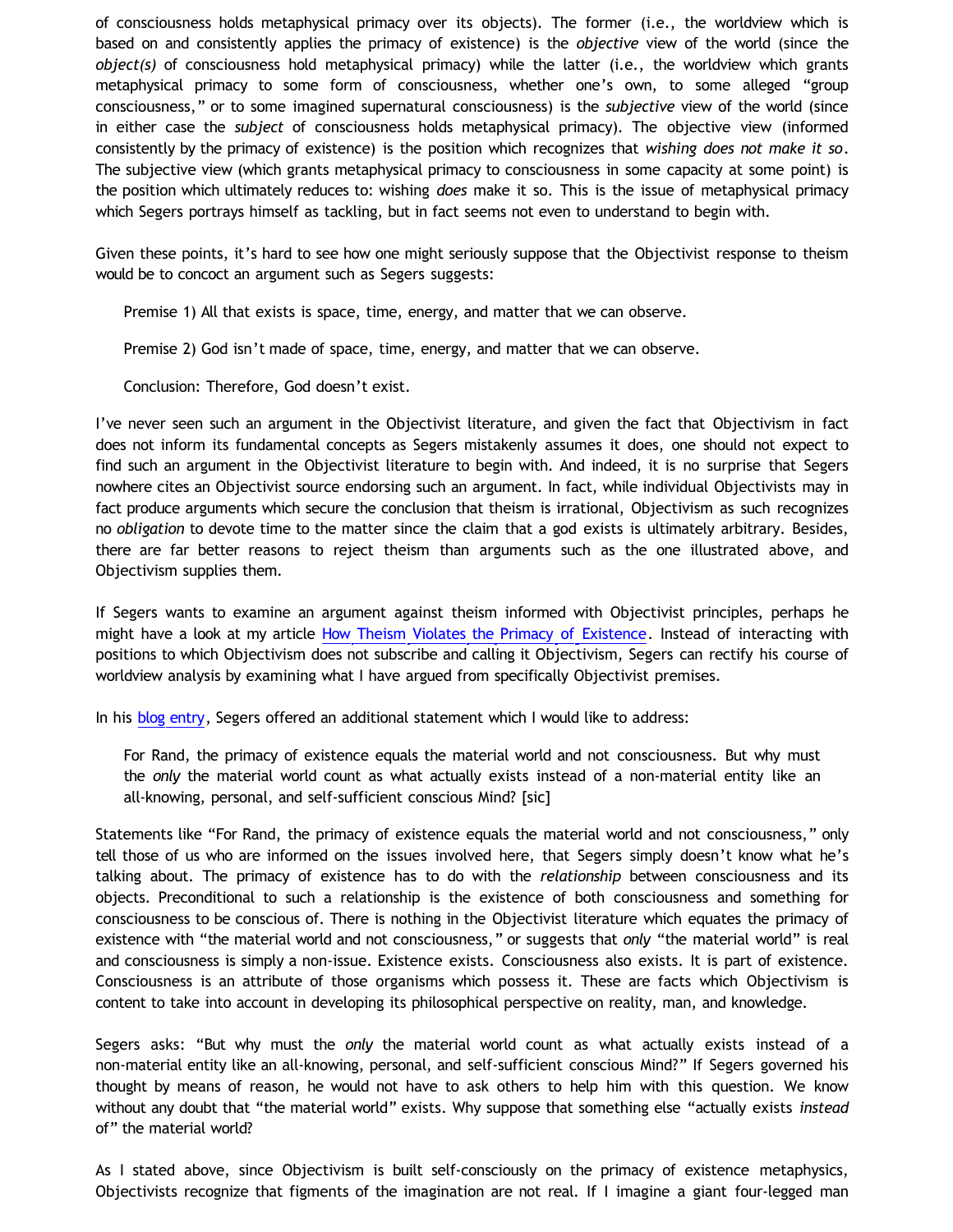of consciousness holds metaphysical primacy over its objects). The former (i.e., the worldview which is based on and consistently applies the primacy of existence) is the *objective* view of the world (since the *object(s)* of consciousness hold metaphysical primacy) while the latter (i.e., the worldview which grants metaphysical primacy to some form of consciousness, whether one's own, to some alleged "group consciousness," or to some imagined supernatural consciousness) is the *subjective* view of the world (since in either case the *subject* of consciousness holds metaphysical primacy). The objective view (informed consistently by the primacy of existence) is the position which recognizes that *wishing does not make it so*. The subjective view (which grants metaphysical primacy to consciousness in some capacity at some point) is the position which ultimately reduces to: wishing *does* make it so. This is the issue of metaphysical primacy which Segers portrays himself as tackling, but in fact seems not even to understand to begin with.

Given these points, it's hard to see how one might seriously suppose that the Objectivist response to theism would be to concoct an argument such as Segers suggests:

Premise 1) All that exists is space, time, energy, and matter that we can observe.

Premise 2) God isn't made of space, time, energy, and matter that we can observe.

Conclusion: Therefore, God doesn't exist.

I've never seen such an argument in the Objectivist literature, and given the fact that Objectivism in fact does not inform its fundamental concepts as Segers mistakenly assumes it does, one should not expect to find such an argument in the Objectivist literature to begin with. And indeed, it is no surprise that Segers nowhere cites an Objectivist source endorsing such an argument. In fact, while individual Objectivists may in fact produce arguments which secure the conclusion that theism is irrational, Objectivism as such recognizes no *obligation* to devote time to the matter since the claim that a god exists is ultimately arbitrary. Besides, there are far better reasons to reject theism than arguments such as the one illustrated above, and Objectivism supplies them.

If Segers wants to examine an argument against theism informed with Objectivist principles, perhaps he might have a look at my article [How Theism Violates the Primacy of Existence](http://katholon.com/Theism_vs_Primacy-of-Existence.htm). Instead of interacting with positions to which Objectivism does not subscribe and calling it Objectivism, Segers can rectify his course of worldview analysis by examining what I have argued from specifically Objectivist premises.

In his [blog entry](http://katholon.com/Doofusman.htm), Segers offered an additional statement which I would like to address:

For Rand, the primacy of existence equals the material world and not consciousness. But why must the *only* the material world count as what actually exists instead of a non-material entity like an all-knowing, personal, and self-sufficient conscious Mind? [sic]

Statements like "For Rand, the primacy of existence equals the material world and not consciousness," only tell those of us who are informed on the issues involved here, that Segers simply doesn't know what he's talking about. The primacy of existence has to do with the *relationship* between consciousness and its objects. Preconditional to such a relationship is the existence of both consciousness and something for consciousness to be conscious of. There is nothing in the Objectivist literature which equates the primacy of existence with "the material world and not consciousness," or suggests that *only* "the material world" is real and consciousness is simply a non-issue. Existence exists. Consciousness also exists. It is part of existence. Consciousness is an attribute of those organisms which possess it. These are facts which Objectivism is content to take into account in developing its philosophical perspective on reality, man, and knowledge.

Segers asks: "But why must the *only* the material world count as what actually exists instead of a non-material entity like an all-knowing, personal, and self-sufficient conscious Mind?" If Segers governed his thought by means of reason, he would not have to ask others to help him with this question. We know without any doubt that "the material world" exists. Why suppose that something else "actually exists *instead* of" the material world?

As I stated above, since Objectivism is built self-consciously on the primacy of existence metaphysics, Objectivists recognize that figments of the imagination are not real. If I imagine a giant four-legged man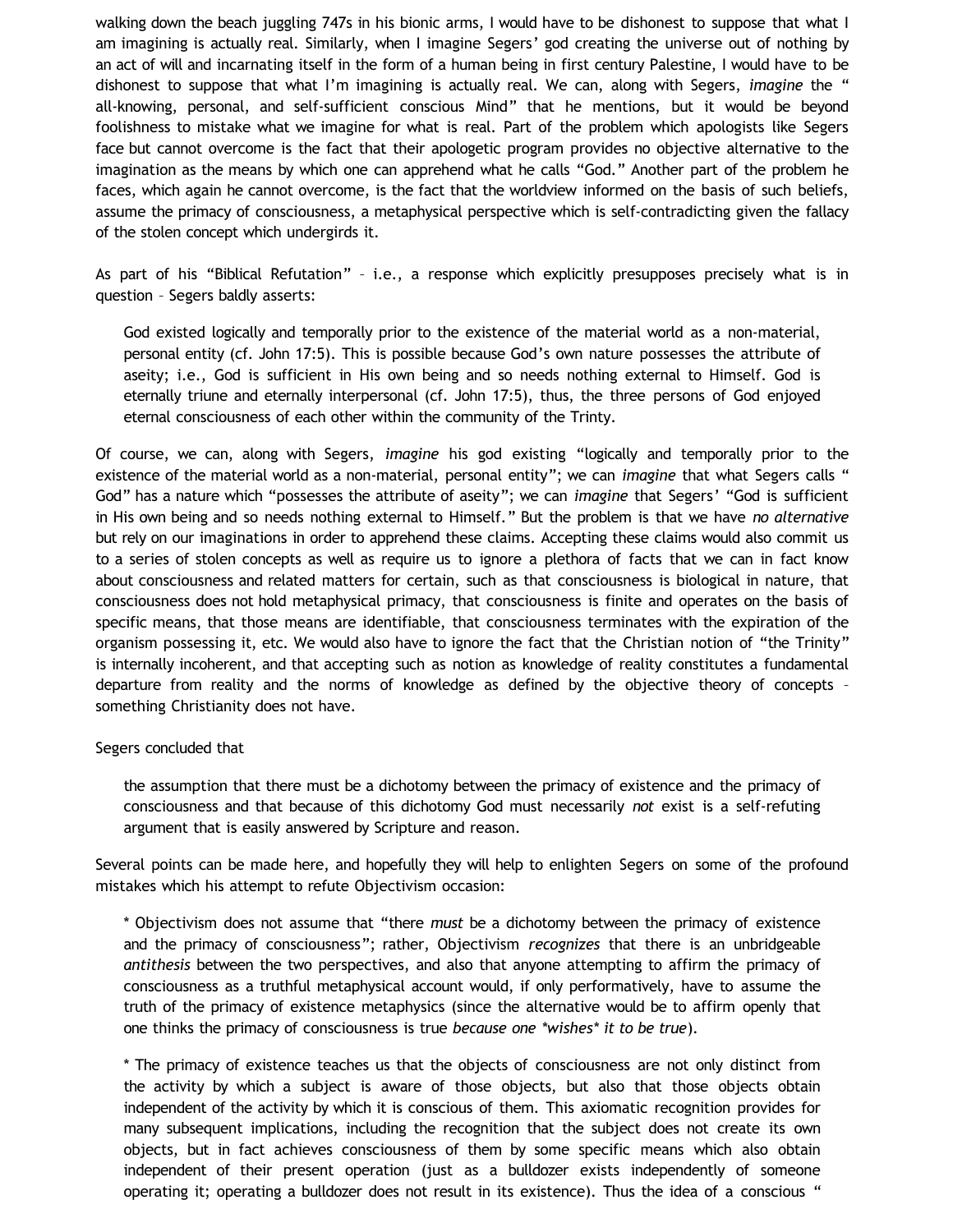walking down the beach juggling 747s in his bionic arms, I would have to be dishonest to suppose that what I am imagining is actually real. Similarly, when I imagine Segers' god creating the universe out of nothing by an act of will and incarnating itself in the form of a human being in first century Palestine, I would have to be dishonest to suppose that what I'm imagining is actually real. We can, along with Segers, *imagine* the " all-knowing, personal, and self-sufficient conscious Mind" that he mentions, but it would be beyond foolishness to mistake what we imagine for what is real. Part of the problem which apologists like Segers face but cannot overcome is the fact that their apologetic program provides no objective alternative to the imagination as the means by which one can apprehend what he calls "God." Another part of the problem he faces, which again he cannot overcome, is the fact that the worldview informed on the basis of such beliefs, assume the primacy of consciousness, a metaphysical perspective which is self-contradicting given the fallacy of the stolen concept which undergirds it.

As part of his "Biblical Refutation" – i.e., a response which explicitly presupposes precisely what is in question – Segers baldly asserts:

God existed logically and temporally prior to the existence of the material world as a non-material, personal entity (cf. John 17:5). This is possible because God's own nature possesses the attribute of aseity; i.e., God is sufficient in His own being and so needs nothing external to Himself. God is eternally triune and eternally interpersonal (cf. John 17:5), thus, the three persons of God enjoyed eternal consciousness of each other within the community of the Trinty.

Of course, we can, along with Segers, *imagine* his god existing "logically and temporally prior to the existence of the material world as a non-material, personal entity"; we can *imagine* that what Segers calls " God" has a nature which "possesses the attribute of aseity"; we can *imagine* that Segers' "God is sufficient in His own being and so needs nothing external to Himself." But the problem is that we have *no alternative* but rely on our imaginations in order to apprehend these claims. Accepting these claims would also commit us to a series of stolen concepts as well as require us to ignore a plethora of facts that we can in fact know about consciousness and related matters for certain, such as that consciousness is biological in nature, that consciousness does not hold metaphysical primacy, that consciousness is finite and operates on the basis of specific means, that those means are identifiable, that consciousness terminates with the expiration of the organism possessing it, etc. We would also have to ignore the fact that the Christian notion of "the Trinity" is internally incoherent, and that accepting such as notion as knowledge of reality constitutes a fundamental departure from reality and the norms of knowledge as defined by the objective theory of concepts – something Christianity does not have.

## Segers concluded that

the assumption that there must be a dichotomy between the primacy of existence and the primacy of consciousness and that because of this dichotomy God must necessarily *not* exist is a self-refuting argument that is easily answered by Scripture and reason.

Several points can be made here, and hopefully they will help to enlighten Segers on some of the profound mistakes which his attempt to refute Objectivism occasion:

\* Objectivism does not assume that "there *must* be a dichotomy between the primacy of existence and the primacy of consciousness"; rather, Objectivism *recognizes* that there is an unbridgeable *antithesis* between the two perspectives, and also that anyone attempting to affirm the primacy of consciousness as a truthful metaphysical account would, if only performatively, have to assume the truth of the primacy of existence metaphysics (since the alternative would be to affirm openly that one thinks the primacy of consciousness is true *because one \*wishes\* it to be true*).

\* The primacy of existence teaches us that the objects of consciousness are not only distinct from the activity by which a subject is aware of those objects, but also that those objects obtain independent of the activity by which it is conscious of them. This axiomatic recognition provides for many subsequent implications, including the recognition that the subject does not create its own objects, but in fact achieves consciousness of them by some specific means which also obtain independent of their present operation (just as a bulldozer exists independently of someone operating it; operating a bulldozer does not result in its existence). Thus the idea of a conscious "